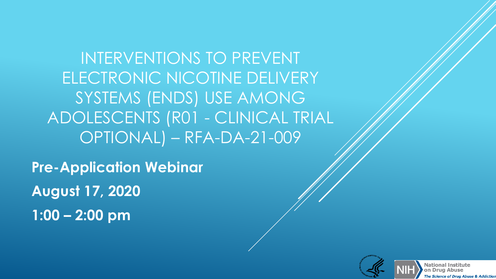INTERVENTIONS TO PREVENT ELECTRONIC NICOTINE DELIVERY SYSTEMS (ENDS) USE AMONG ADOLESCENTS (R01 - CLINICAL TRIAL OPTIONAL) – RFA-DA-21-009

 **August 17, 2020 Pre-Application Webinar 1:00 – 2:00 pm** 

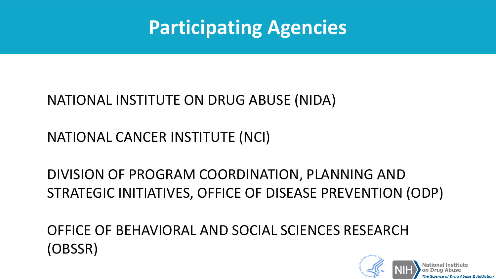

#### OFFICE OF BEHAVIORAL AND SOCIAL SCIENCES RESEARCH (OBSSR)

#### STRATEGIC INITIATIVES, OFFICE OF DISEASE PREVENTION (ODP) DIVISION OF PROGRAM COORDINATION, PLANNING AND

#### NATIONAL CANCER INSTITUTE (NCI)

#### NATIONAL INSTITUTE ON DRUG ABUSE (NIDA)

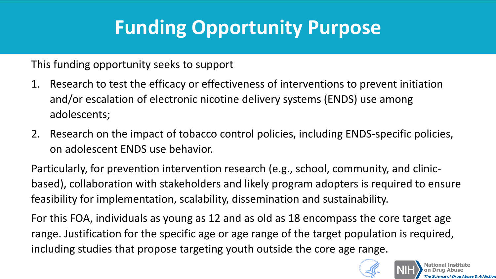# **Funding Opportunity Purpose**

This funding opportunity seeks to support

- 1. Research to test the efficacy or effectiveness of interventions to prevent initiation and/or escalation of electronic nicotine delivery systems (ENDS) use among adolescents;
- 2. Research on the impact of tobacco control policies, including ENDS-specific policies, on adolescent ENDS use behavior.

 based), collaboration with stakeholders and likely program adopters is required to ensure Particularly, for prevention intervention research (e.g., school, community, and clinicfeasibility for implementation, scalability, dissemination and sustainability.

 For this FOA, individuals as young as 12 and as old as 18 encompass the core target age range. Justification for the specific age or age range of the target population is required, including studies that propose targeting youth outside the core age range.

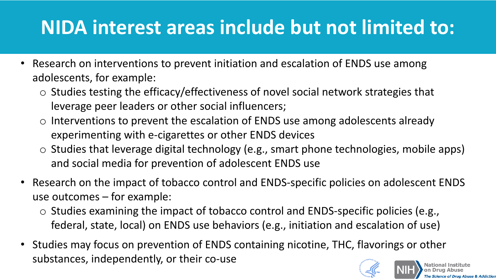# **NIDA interest areas include but not limited to:**

- • Research on interventions to prevent initiation and escalation of ENDS use among adolescents, for example:
	- o Studies testing the efficacy/effectiveness of novel social network strategies that leverage peer leaders or other social influencers;
	- $\circ$  Interventions to prevent the escalation of ENDS use among adolescents already experimenting with e-cigarettes or other ENDS devices
	- $\circ$  Studies that leverage digital technology (e.g., smart phone technologies, mobile apps) and social media for prevention of adolescent ENDS use
- Research on the impact of tobacco control and ENDS-specific policies on adolescent ENDS use outcomes – for example:
	- o Studies examining the impact of tobacco control and ENDS-specific policies (e.g., federal, state, local) on ENDS use behaviors (e.g., initiation and escalation of use)
- Studies may focus on prevention of ENDS containing nicotine, THC, flavorings or other substances, independently, or their co-use

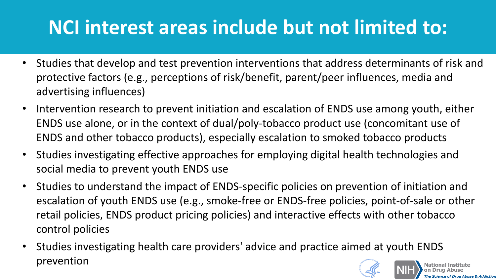# **NCI interest areas include but not limited to:**

- • Studies that develop and test prevention interventions that address determinants of risk and protective factors (e.g., perceptions of risk/benefit, parent/peer influences, media and advertising influences)
- • Intervention research to prevent initiation and escalation of ENDS use among youth, either ENDS use alone, or in the context of dual/poly-tobacco product use (concomitant use of ENDS and other tobacco products), especially escalation to smoked tobacco products
- social media to prevent youth ENDS use • Studies investigating effective approaches for employing digital health technologies and
- • Studies to understand the impact of ENDS-specific policies on prevention of initiation and escalation of youth ENDS use (e.g., smoke-free or ENDS-free policies, point-of-sale or other retail policies, ENDS product pricing policies) and interactive effects with other tobacco control policies

The Science of Drug Abuse & Addictio

 • Studies investigating health care providers' advice and practice aimed at youth ENDS **National Institute on Drug Abuse**  prevention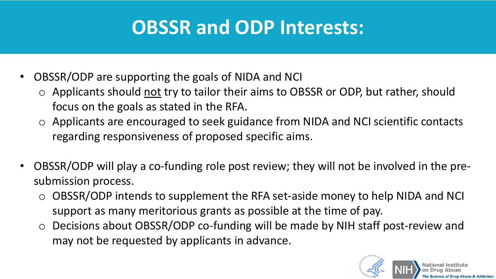## **OBSSR and ODP Interests:**

- • OBSSR/ODP are supporting the goals of NIDA and NCI
	- o Applicants should not try to tailor their aims to OBSSR or ODP, but rather, should focus on the goals as stated in the RFA.
	- o Applicants are encouraged to seek guidance from NIDA and NCI scientific contacts regarding responsiveness of proposed specific aims.
- • OBSSR/ODP will play a co-funding role post review; they will not be involved in the pre- submission process.
	- o OBSSR/ODP intends to supplement the RFA set-aside money to help NIDA and NCI support as many meritorious grants as possible at the time of pay.
	- o Decisions about OBSSR/ODP co-funding will be made by NIH staff post-review and may not be requested by applicants in advance.

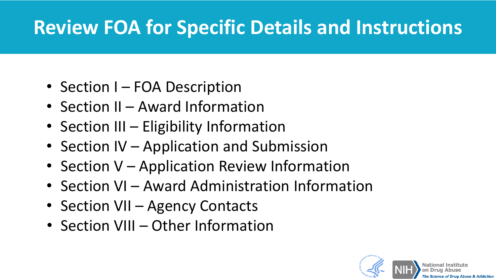## **Review FOA for Specific Details and Instructions**

- Section I FOA Description
- Section II Award Information
- Section III Eligibility Information
- Section IV Application and Submission
- Section V Application Review Information
- Section VI Award Administration Information
- Section VII Agency Contacts
- Section VIII Other Information

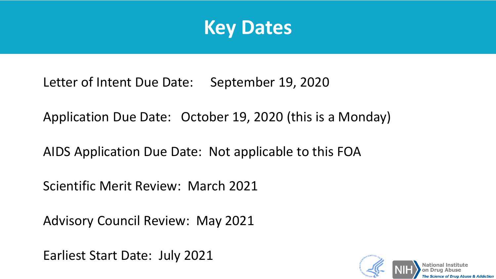

Letter of Intent Due Date: September 19, 2020

Application Due Date: October 19, 2020 (this is a Monday)

AIDS Application Due Date: Not applicable to this FOA

Scientific Merit Review: March 2021

Advisory Council Review: May 2021

Earliest Start Date: July 2021

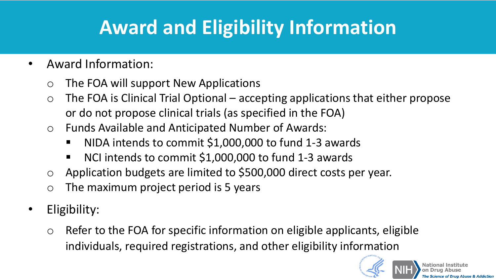## **Award and Eligibility Information**

- Award Information:
	- o The FOA will support New Applications
	- $\circ$  The FOA is Clinical Trial Optional accepting applications that either propose or do not propose clinical trials (as specified in the FOA)
	- o Funds Available and Anticipated Number of Awards:
		- NIDA intends to commit \$1,000,000 to fund 1-3 awards
		- NCI intends to commit \$1,000,000 to fund 1-3 awards
	- o Application budgets are limited to \$500,000 direct costs per year.
	- $\circ$  The maximum project period is 5 years
- Eligibility:
	- $\circ$  Refer to the FOA for specific information on eligible applicants, eligible individuals, required registrations, and other eligibility information

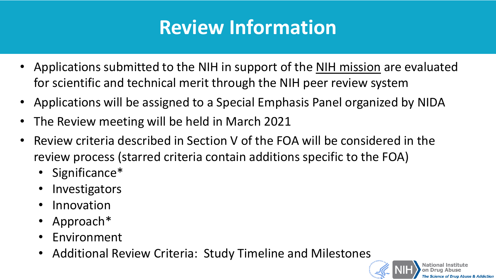## **Review Information**

- Applications submitted to the NIH in support of the [NIH mission](https://grants.nih.gov/grants/guide/url_redirect.htm?id=11149) are evaluated for scientific and technical merit through the NIH peer review system
- Applications will be assigned to a Special Emphasis Panel organized by NIDA
- The Review meeting will be held in March 2021
- • Review criteria described in Section V of the FOA will be considered in the review process (starred criteria contain additions specific to the FOA)
	- Significance\*
	- **Investigators**
	- Innovation
	- Approach\*
	- **Environment**
	- **Additional Review Criteria: Study Timeline and Milestones and Milestones**

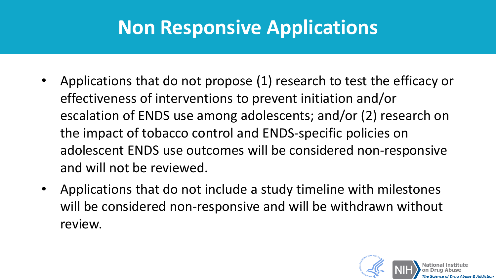### **Non Responsive Applications**

- • Applications that do not propose (1) research to test the efficacy or effectiveness of interventions to prevent initiation and/or escalation of ENDS use among adolescents; and/or (2) research on the impact of tobacco control and ENDS-specific policies on adolescent ENDS use outcomes will be considered non-responsive and will not be reviewed.
- • Applications that do not include a study timeline with milestones will be considered non-responsive and will be withdrawn without review.

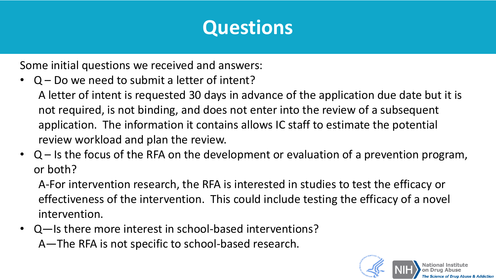### **Questions**

Some initial questions we received and answers:

• Q – Do we need to submit a letter of intent?

 A letter of intent is requested 30 days in advance of the application due date but it is not required, is not binding, and does not enter into the review of a subsequent application. The information it contains allows IC staff to estimate the potential review workload and plan the review.

• Q – Is the focus of the RFA on the development or evaluation of a prevention program, or both?

 A-For intervention research, the RFA is interested in studies to test the efficacy or effectiveness of the intervention. This could include testing the efficacy of a novel intervention.

 A—The RFA is not specific to school-based research. • Q—Is there more interest in school-based interventions?